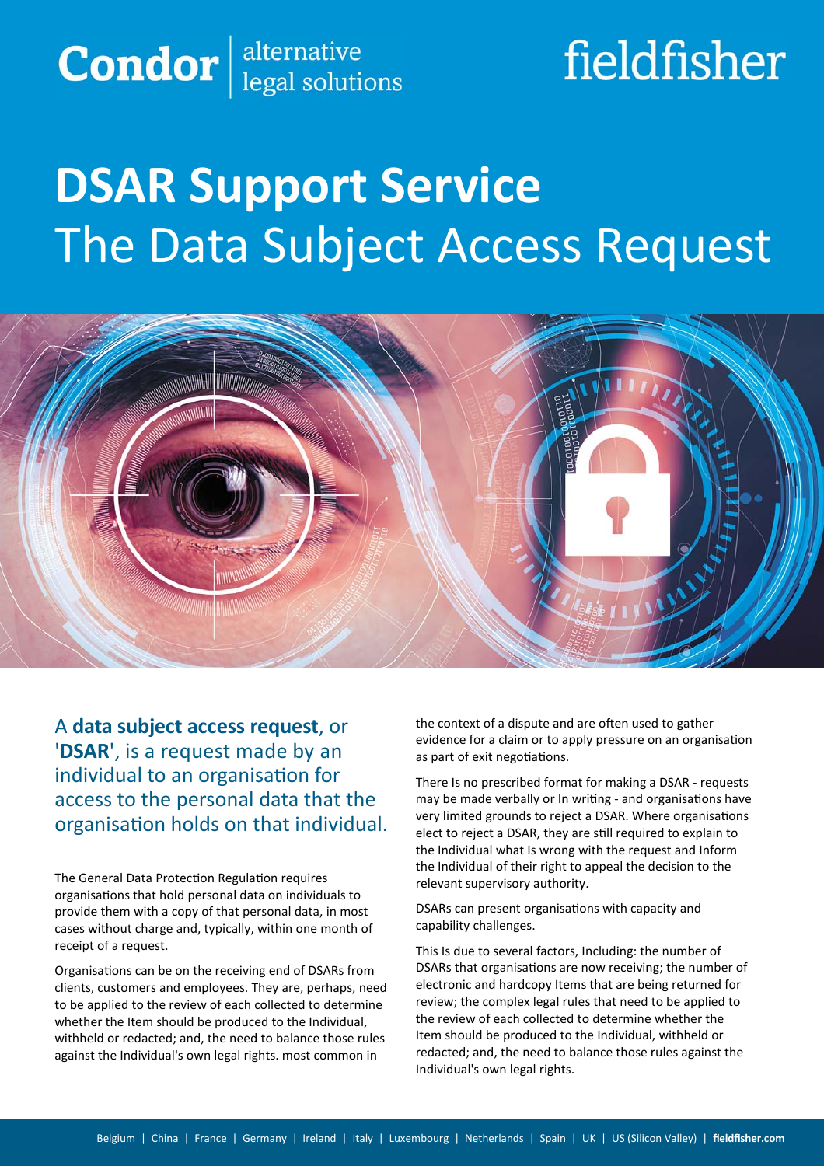# **Condor**  $\left| \frac{\text{alternative}}{\text{legal solutions}} \right|$

## fieldfisher

## **DSAR Support Service**  The Data Subject Access Request



A **data subject access request**, or '**DSAR**', is a request made by an individual to an organisation for access to the personal data that the organisation holds on that individual.

The General Data Protection Regulation requires organisations that hold personal data on individuals to provide them with a copy of that personal data, in most cases without charge and, typically, within one month of receipt of a request.

Organisations can be on the receiving end of DSARs from clients, customers and employees. They are, perhaps, need to be applied to the review of each collected to determine whether the Item should be produced to the Individual, withheld or redacted; and, the need to balance those rules against the Individual's own legal rights. most common in

the context of a dispute and are often used to gather evidence for a claim or to apply pressure on an organisation as part of exit negotiations.

There Is no prescribed format for making a DSAR - requests may be made verbally or In writing - and organisations have very limited grounds to reject a DSAR. Where organisations elect to reject a DSAR, they are still required to explain to the Individual what Is wrong with the request and Inform the Individual of their right to appeal the decision to the relevant supervisory authority.

DSARs can present organisations with capacity and capability challenges.

This Is due to several factors, Including: the number of DSARs that organisations are now receiving; the number of electronic and hardcopy Items that are being returned for review; the complex legal rules that need to be applied to the review of each collected to determine whether the Item should be produced to the Individual, withheld or redacted; and, the need to balance those rules against the Individual's own legal rights.